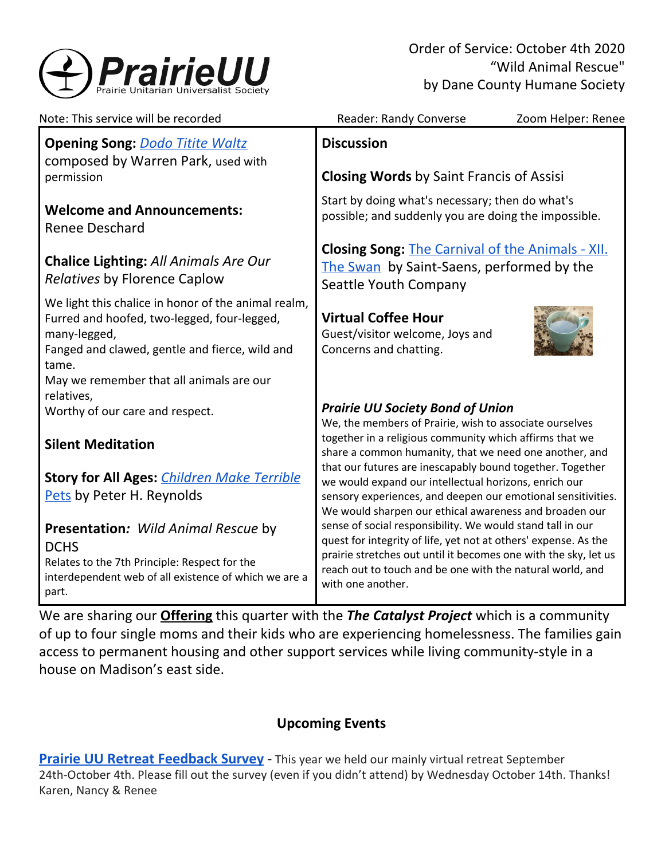

Order of Service: October 4th 2020 "Wild Animal Rescue" by Dane County Humane Society

| Note: This service will be recorded                                                                                                                                                                                       | Reader: Randy Converse<br>Zoom Helper: Renee                                                                                                                                                                                                                                       |
|---------------------------------------------------------------------------------------------------------------------------------------------------------------------------------------------------------------------------|------------------------------------------------------------------------------------------------------------------------------------------------------------------------------------------------------------------------------------------------------------------------------------|
| <b>Opening Song: Dodo Titite Waltz</b><br>composed by Warren Park, used with                                                                                                                                              | <b>Discussion</b>                                                                                                                                                                                                                                                                  |
| permission                                                                                                                                                                                                                | <b>Closing Words by Saint Francis of Assisi</b>                                                                                                                                                                                                                                    |
| <b>Welcome and Announcements:</b><br><b>Renee Deschard</b>                                                                                                                                                                | Start by doing what's necessary; then do what's<br>possible; and suddenly you are doing the impossible.                                                                                                                                                                            |
| <b>Chalice Lighting: All Animals Are Our</b><br>Relatives by Florence Caplow                                                                                                                                              | <b>Closing Song: The Carnival of the Animals - XII.</b><br>The Swan by Saint-Saens, performed by the<br>Seattle Youth Company                                                                                                                                                      |
| We light this chalice in honor of the animal realm,<br>Furred and hoofed, two-legged, four-legged,<br>many-legged,<br>Fanged and clawed, gentle and fierce, wild and<br>tame.<br>May we remember that all animals are our | <b>Virtual Coffee Hour</b><br>Guest/visitor welcome, Joys and<br>Concerns and chatting.                                                                                                                                                                                            |
| relatives,<br>Worthy of our care and respect.                                                                                                                                                                             | <b>Prairie UU Society Bond of Union</b><br>We, the members of Prairie, wish to associate ourselves                                                                                                                                                                                 |
| <b>Silent Meditation</b>                                                                                                                                                                                                  | together in a religious community which affirms that we<br>share a common humanity, that we need one another, and                                                                                                                                                                  |
| <b>Story for All Ages: Children Make Terrible</b>                                                                                                                                                                         | that our futures are inescapably bound together. Together<br>we would expand our intellectual horizons, enrich our                                                                                                                                                                 |
| Pets by Peter H. Reynolds                                                                                                                                                                                                 | sensory experiences, and deepen our emotional sensitivities.<br>We would sharpen our ethical awareness and broaden our                                                                                                                                                             |
| Presentation: Wild Animal Rescue by<br><b>DCHS</b><br>Relates to the 7th Principle: Respect for the<br>interdependent web of all existence of which we are a<br>part.                                                     | sense of social responsibility. We would stand tall in our<br>quest for integrity of life, yet not at others' expense. As the<br>prairie stretches out until it becomes one with the sky, let us<br>reach out to touch and be one with the natural world, and<br>with one another. |

We are sharing our **[Offering](https://www.paypal.com/cgi-bin/webscr?cmd=_s-xclick&hosted_button_id=T3LVLF6FD6LPE&source=url)** this quarter with the *The Catalyst Project* which is a community of up to four single moms and their kids who are experiencing homelessness. The families gain access to permanent housing and other support services while living community-style in a house on Madison's east side.

# **Upcoming Events**

**Prairie UU Retreat [Feedback](https://docs.google.com/forms/d/e/1FAIpQLSfKTwRpqoOsI7s-JpoMnlUIkudnb5uuTg8IKR5VT_olqNEz_w/viewform) Survey** - This year we held our mainly virtual retreat September 24th-October 4th. Please fill out the survey (even if you didn't attend) by Wednesday October 14th. Thanks! Karen, Nancy & Renee